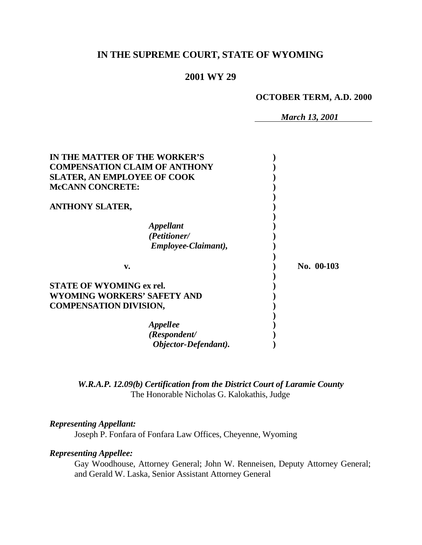# **IN THE SUPREME COURT, STATE OF WYOMING**

## **2001 WY 29**

**OCTOBER TERM, A.D. 2000**

*March 13, 2001*

| IN THE MATTER OF THE WORKER'S        |            |
|--------------------------------------|------------|
| <b>COMPENSATION CLAIM OF ANTHONY</b> |            |
| <b>SLATER, AN EMPLOYEE OF COOK</b>   |            |
| <b>McCANN CONCRETE:</b>              |            |
| <b>ANTHONY SLATER,</b>               |            |
| Appellant                            |            |
| (Petitioner/                         |            |
| Employee-Claimant),                  |            |
| v.                                   | No. 00-103 |
| <b>STATE OF WYOMING ex rel.</b>      |            |
| WYOMING WORKERS' SAFETY AND          |            |
| <b>COMPENSATION DIVISION,</b>        |            |
|                                      |            |
|                                      |            |
| <b>Appellee</b><br>(Respondent/      |            |

*W.R.A.P. 12.09(b) Certification from the District Court of Laramie County* The Honorable Nicholas G. Kalokathis, Judge

### *Representing Appellant:*

Joseph P. Fonfara of Fonfara Law Offices, Cheyenne, Wyoming

### *Representing Appellee:*

Gay Woodhouse, Attorney General; John W. Renneisen, Deputy Attorney General; and Gerald W. Laska, Senior Assistant Attorney General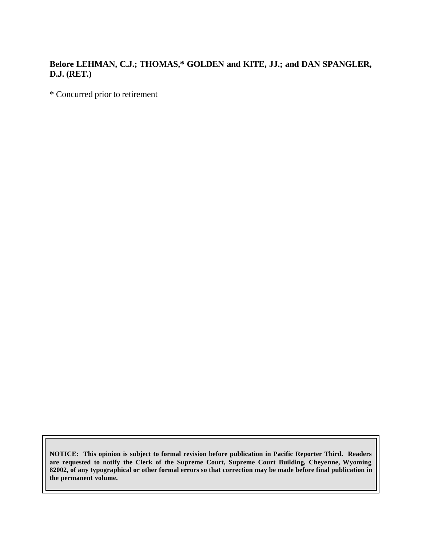## **Before LEHMAN, C.J.; THOMAS,\* GOLDEN and KITE, JJ.; and DAN SPANGLER, D.J. (RET.)**

\* Concurred prior to retirement

**NOTICE: This opinion is subject to formal revision before publication in Pacific Reporter Third. Readers are requested to notify the Clerk of the Supreme Court, Supreme Court Building, Cheyenne, Wyoming 82002, of any typographical or other formal errors so that correction may be made before final publication in the permanent volume.**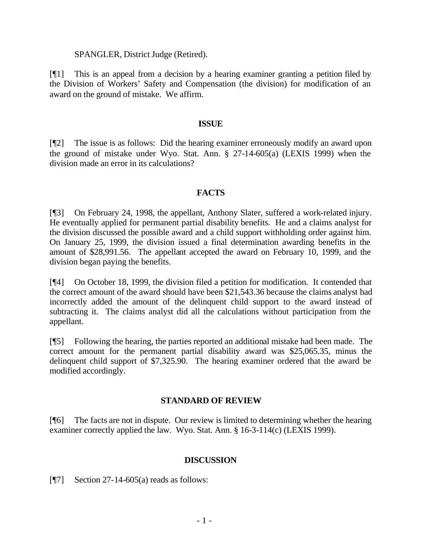#### SPANGLER, District Judge (Retired).

[¶1] This is an appeal from a decision by a hearing examiner granting a petition filed by the Division of Workers' Safety and Compensation (the division) for modification of an award on the ground of mistake. We affirm.

#### **ISSUE**

[¶2] The issue is as follows: Did the hearing examiner erroneously modify an award upon the ground of mistake under Wyo. Stat. Ann. § 27-14-605(a) (LEXIS 1999) when the division made an error in its calculations?

### **FACTS**

[¶3] On February 24, 1998, the appellant, Anthony Slater, suffered a work-related injury. He eventually applied for permanent partial disability benefits. He and a claims analyst for the division discussed the possible award and a child support withholding order against him. On January 25, 1999, the division issued a final determination awarding benefits in the amount of \$28,991.56. The appellant accepted the award on February 10, 1999, and the division began paying the benefits.

[¶4] On October 18, 1999, the division filed a petition for modification. It contended that the correct amount of the award should have been \$21,543.36 because the claims analyst had incorrectly added the amount of the delinquent child support to the award instead of subtracting it. The claims analyst did all the calculations without participation from the appellant.

[¶5] Following the hearing, the parties reported an additional mistake had been made. The correct amount for the permanent partial disability award was \$25,065.35, minus the delinquent child support of \$7,325.90. The hearing examiner ordered that the award be modified accordingly.

### **STANDARD OF REVIEW**

[¶6] The facts are not in dispute. Our review is limited to determining whether the hearing examiner correctly applied the law. Wyo. Stat. Ann. § 16-3-114(c) (LEXIS 1999).

#### **DISCUSSION**

[ $\llbracket$ 7] Section 27-14-605(a) reads as follows: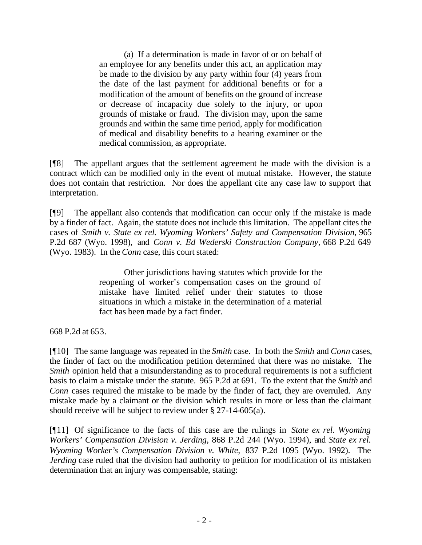(a) If a determination is made in favor of or on behalf of an employee for any benefits under this act, an application may be made to the division by any party within four (4) years from the date of the last payment for additional benefits or for a modification of the amount of benefits on the ground of increase or decrease of incapacity due solely to the injury, or upon grounds of mistake or fraud. The division may, upon the same grounds and within the same time period, apply for modification of medical and disability benefits to a hearing examiner or the medical commission, as appropriate.

[¶8] The appellant argues that the settlement agreement he made with the division is a contract which can be modified only in the event of mutual mistake. However, the statute does not contain that restriction. Nor does the appellant cite any case law to support that interpretation.

[¶9] The appellant also contends that modification can occur only if the mistake is made by a finder of fact. Again, the statute does not include this limitation. The appellant cites the cases of *Smith v. State ex rel. Wyoming Workers' Safety and Compensation Division*, 965 P.2d 687 (Wyo. 1998), and *Conn v. Ed Wederski Construction Company,* 668 P.2d 649 (Wyo. 1983). In the *Conn* case, this court stated:

> Other jurisdictions having statutes which provide for the reopening of worker's compensation cases on the ground of mistake have limited relief under their statutes to those situations in which a mistake in the determination of a material fact has been made by a fact finder.

668 P.2d at 653.

[¶10] The same language was repeated in the *Smith* case. In both the *Smith* and *Conn* cases, the finder of fact on the modification petition determined that there was no mistake. The *Smith* opinion held that a misunderstanding as to procedural requirements is not a sufficient basis to claim a mistake under the statute.965 P.2d at 691. To the extent that the *Smith* and *Conn* cases required the mistake to be made by the finder of fact, they are overruled. Any mistake made by a claimant or the division which results in more or less than the claimant should receive will be subject to review under § 27-14-605(a).

[¶11] Of significance to the facts of this case are the rulings in *State ex rel. Wyoming Workers' Compensation Division v. Jerding*, 868 P.2d 244 (Wyo. 1994), and *State ex rel. Wyoming Worker's Compensation Division v. White,* 837 P.2d 1095 (Wyo. 1992). The *Jerding* case ruled that the division had authority to petition for modification of its mistaken determination that an injury was compensable, stating: